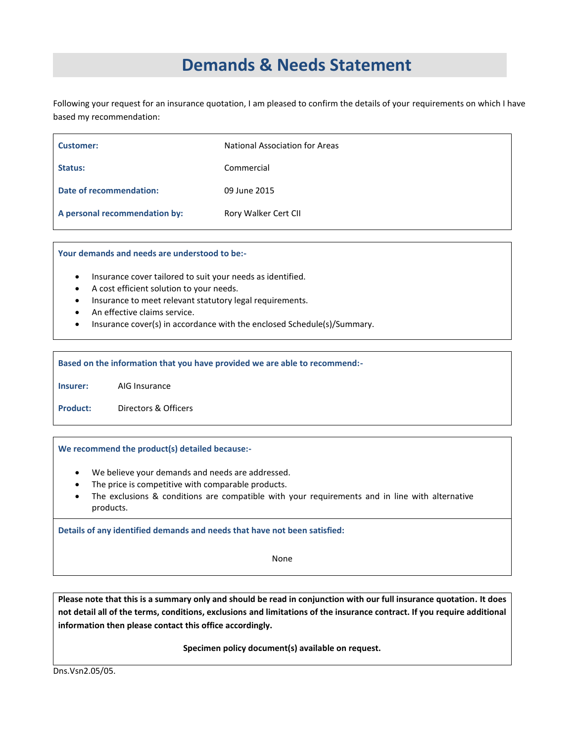# **Demands & Needs Statement**

Following your request for an insurance quotation, I am pleased to confirm the details of your requirements on which I have based my recommendation:

| Customer:                     | <b>National Association for Areas</b> |
|-------------------------------|---------------------------------------|
| Status:                       | Commercial                            |
| Date of recommendation:       | 09 June 2015                          |
| A personal recommendation by: | Rory Walker Cert CII                  |

**Your demands and needs are understood to be:-**

- Insurance cover tailored to suit your needs as identified.
- A cost efficient solution to your needs.
- Insurance to meet relevant statutory legal requirements.
- An effective claims service.
- Insurance cover(s) in accordance with the enclosed Schedule(s)/Summary.

**Based on the information that you have provided we are able to recommend:-**

**Insurer:** AIG Insurance

**Product:** Directors & Officers

# **We recommend the product(s) detailed because:-**

- We believe your demands and needs are addressed.
- The price is competitive with comparable products.
- The exclusions & conditions are compatible with your requirements and in line with alternative products.

**Details of any identified demands and needs that have not been satisfied:**

None

**Please note that this is a summary only and should be read in conjunction with our full insurance quotation***.* **It does not detail all of the terms, conditions, exclusions and limitations of the insurance contract. If you require additional information then please contact this office accordingly.**

**Specimen policy document(s) available on request.**

Dns.Vsn2.05/05.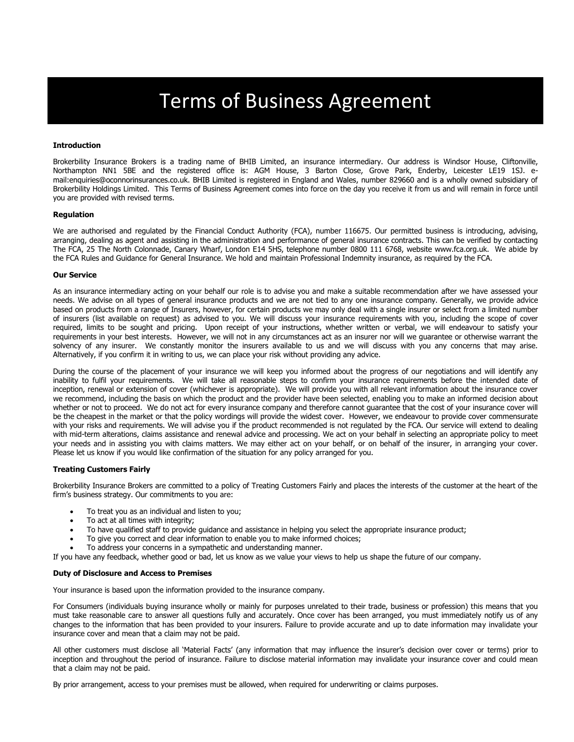# Terms of Business Agreement

# **Introduction**

Brokerbility Insurance Brokers is a trading name of BHIB Limited, an insurance intermediary. Our address is Windsor House, Cliftonville, Northampton NN1 5BE and the registered office is: AGM House, 3 Barton Close, Grove Park, Enderby, Leicester LE19 1SJ. email:enquiries@oconnorinsurances.co.uk. BHIB Limited is registered in England and Wales, number 829660 and is a wholly owned subsidiary of Brokerbility Holdings Limited. This Terms of Business Agreement comes into force on the day you receive it from us and will remain in force until you are provided with revised terms.

#### **Regulation**

We are authorised and regulated by the Financial Conduct Authority (FCA), number 116675. Our permitted business is introducing, advising, arranging, dealing as agent and assisting in the administration and performance of general insurance contracts. This can be verified by contacting The FCA, 25 The North Colonnade, Canary Wharf, London E14 5HS, telephone number 0800 111 6768, website www.fca.org.uk. We abide by the FCA Rules and Guidance for General Insurance. We hold and maintain Professional Indemnity insurance, as required by the FCA.

#### **Our Service**

As an insurance intermediary acting on your behalf our role is to advise you and make a suitable recommendation after we have assessed your needs. We advise on all types of general insurance products and we are not tied to any one insurance company. Generally, we provide advice based on products from a range of Insurers, however, for certain products we may only deal with a single insurer or select from a limited number of insurers (list available on request) as advised to you. We will discuss your insurance requirements with you, including the scope of cover required, limits to be sought and pricing. Upon receipt of your instructions, whether written or verbal, we will endeavour to satisfy your requirements in your best interests. However, we will not in any circumstances act as an insurer nor will we guarantee or otherwise warrant the solvency of any insurer. We constantly monitor the insurers available to us and we will discuss with you any concerns that may arise. Alternatively, if you confirm it in writing to us, we can place your risk without providing any advice.

During the course of the placement of your insurance we will keep you informed about the progress of our negotiations and will identify any inability to fulfil your requirements. We will take all reasonable steps to confirm your insurance requirements before the intended date of inception, renewal or extension of cover (whichever is appropriate). We will provide you with all relevant information about the insurance cover we recommend, including the basis on which the product and the provider have been selected, enabling you to make an informed decision about whether or not to proceed. We do not act for every insurance company and therefore cannot guarantee that the cost of your insurance cover will be the cheapest in the market or that the policy wordings will provide the widest cover. However, we endeavour to provide cover commensurate with your risks and requirements. We will advise you if the product recommended is not regulated by the FCA. Our service will extend to dealing with mid-term alterations, claims assistance and renewal advice and processing. We act on your behalf in selecting an appropriate policy to meet your needs and in assisting you with claims matters. We may either act on your behalf, or on behalf of the insurer, in arranging your cover. Please let us know if you would like confirmation of the situation for any policy arranged for you.

# **Treating Customers Fairly**

Brokerbility Insurance Brokers are committed to a policy of Treating Customers Fairly and places the interests of the customer at the heart of the firm's business strategy. Our commitments to you are:

- To treat you as an individual and listen to you;
- To act at all times with integrity;
- To have qualified staff to provide guidance and assistance in helping you select the appropriate insurance product;
- To give you correct and clear information to enable you to make informed choices;
- To address your concerns in a sympathetic and understanding manner.

If you have any feedback, whether good or bad, let us know as we value your views to help us shape the future of our company.

#### **Duty of Disclosure and Access to Premises**

Your insurance is based upon the information provided to the insurance company.

For Consumers (individuals buying insurance wholly or mainly for purposes unrelated to their trade, business or profession) this means that you must take reasonable care to answer all questions fully and accurately. Once cover has been arranged, you must immediately notify us of any changes to the information that has been provided to your insurers. Failure to provide accurate and up to date information may invalidate your insurance cover and mean that a claim may not be paid.

All other customers must disclose all 'Material Facts' (any information that may influence the insurer's decision over cover or terms) prior to inception and throughout the period of insurance. Failure to disclose material information may invalidate your insurance cover and could mean that a claim may not be paid.

By prior arrangement, access to your premises must be allowed, when required for underwriting or claims purposes.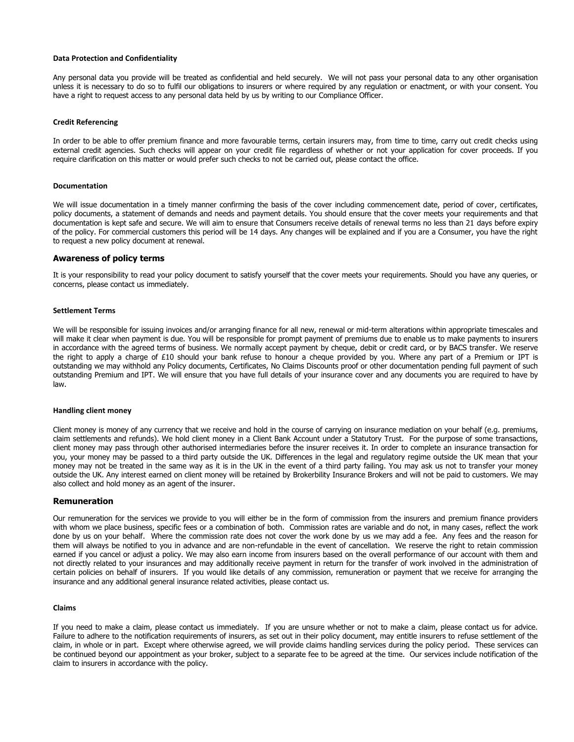## **Data Protection and Confidentiality**

Any personal data you provide will be treated as confidential and held securely. We will not pass your personal data to any other organisation unless it is necessary to do so to fulfil our obligations to insurers or where required by any regulation or enactment, or with your consent. You have a right to request access to any personal data held by us by writing to our Compliance Officer.

### **Credit Referencing**

In order to be able to offer premium finance and more favourable terms, certain insurers may, from time to time, carry out credit checks using external credit agencies. Such checks will appear on your credit file regardless of whether or not your application for cover proceeds. If you require clarification on this matter or would prefer such checks to not be carried out, please contact the office.

# **Documentation**

We will issue documentation in a timely manner confirming the basis of the cover including commencement date, period of cover, certificates, policy documents, a statement of demands and needs and payment details. You should ensure that the cover meets your requirements and that documentation is kept safe and secure. We will aim to ensure that Consumers receive details of renewal terms no less than 21 days before expiry of the policy. For commercial customers this period will be 14 days. Any changes will be explained and if you are a Consumer, you have the right to request a new policy document at renewal.

# **Awareness of policy terms**

It is your responsibility to read your policy document to satisfy yourself that the cover meets your requirements. Should you have any queries, or concerns, please contact us immediately.

#### **Settlement Terms**

We will be responsible for issuing invoices and/or arranging finance for all new, renewal or mid-term alterations within appropriate timescales and will make it clear when payment is due. You will be responsible for prompt payment of premiums due to enable us to make payments to insurers in accordance with the agreed terms of business. We normally accept payment by cheque, debit or credit card, or by BACS transfer. We reserve the right to apply a charge of £10 should your bank refuse to honour a cheque provided by you. Where any part of a Premium or IPT is outstanding we may withhold any Policy documents, Certificates, No Claims Discounts proof or other documentation pending full payment of such outstanding Premium and IPT. We will ensure that you have full details of your insurance cover and any documents you are required to have by law.

#### **Handling client money**

Client money is money of any currency that we receive and hold in the course of carrying on insurance mediation on your behalf (e.g. premiums, claim settlements and refunds). We hold client money in a Client Bank Account under a Statutory Trust. For the purpose of some transactions, client money may pass through other authorised intermediaries before the insurer receives it. In order to complete an insurance transaction for you, your money may be passed to a third party outside the UK. Differences in the legal and regulatory regime outside the UK mean that your money may not be treated in the same way as it is in the UK in the event of a third party failing. You may ask us not to transfer your money outside the UK. Any interest earned on client money will be retained by Brokerbility Insurance Brokers and will not be paid to customers. We may also collect and hold money as an agent of the insurer.

# **Remuneration**

Our remuneration for the services we provide to you will either be in the form of commission from the insurers and premium finance providers with whom we place business, specific fees or a combination of both. Commission rates are variable and do not, in many cases, reflect the work done by us on your behalf. Where the commission rate does not cover the work done by us we may add a fee. Any fees and the reason for them will always be notified to you in advance and are non-refundable in the event of cancellation. We reserve the right to retain commission earned if you cancel or adjust a policy. We may also earn income from insurers based on the overall performance of our account with them and not directly related to your insurances and may additionally receive payment in return for the transfer of work involved in the administration of certain policies on behalf of insurers. If you would like details of any commission, remuneration or payment that we receive for arranging the insurance and any additional general insurance related activities, please contact us.

#### **Claims**

If you need to make a claim, please contact us immediately. If you are unsure whether or not to make a claim, please contact us for advice. Failure to adhere to the notification requirements of insurers, as set out in their policy document, may entitle insurers to refuse settlement of the claim, in whole or in part. Except where otherwise agreed, we will provide claims handling services during the policy period. These services can be continued beyond our appointment as your broker, subject to a separate fee to be agreed at the time. Our services include notification of the claim to insurers in accordance with the policy.